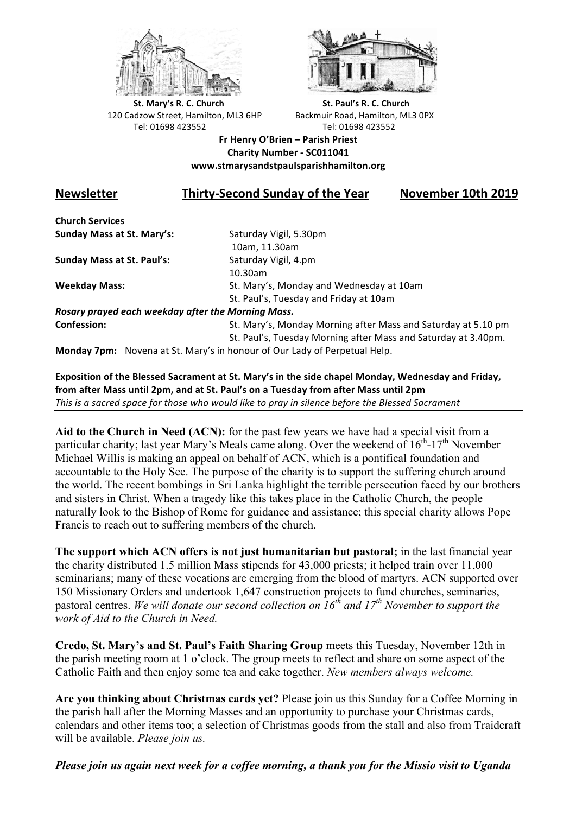



**St.** Mary's R. C. Church St. Paul's R. C. Church 120 Cadzow Street, Hamilton, ML3 6HP Backmuir Road, Hamilton, ML3 0PX Tel: 01698 423552 Tel: 01698 423552

**Fr Henry O'Brien – Parish Priest Charity Number - SC011041 www.stmarysandstpaulsparishhamilton.org**

## **Newsletter Thirty-Second Sunday of the Year November 10th 2019**

**Church Services Sunday Mass at St. Mary's:** Saturday Vigil, 5.30pm

**Sunday Mass at St. Paul's:** Saturday Vigil, 4.pm

 10am, 11.30am 10.30am **Weekday Mass:** St. Mary's, Monday and Wednesday at 10am St. Paul's, Tuesday and Friday at 10am

*Rosary prayed each weekday after the Morning Mass.* **Confession:** St. Mary's, Monday Morning after Mass and Saturday at 5.10 pm

St. Paul's, Tuesday Morning after Mass and Saturday at 3.40pm.

**Monday 7pm:** Novena at St. Mary's in honour of Our Lady of Perpetual Help.

Exposition of the Blessed Sacrament at St. Mary's in the side chapel Monday, Wednesday and Friday, from after Mass until 2pm, and at St. Paul's on a Tuesday from after Mass until 2pm *This* is a sacred space for those who would like to pray in silence before the Blessed Sacrament

**Aid to the Church in Need (ACN):** for the past few years we have had a special visit from a particular charity; last year Mary's Meals came along. Over the weekend of  $16^{th}$ -17<sup>th</sup> November Michael Willis is making an appeal on behalf of ACN, which is a pontifical foundation and accountable to the Holy See. The purpose of the charity is to support the suffering church around the world. The recent bombings in Sri Lanka highlight the terrible persecution faced by our brothers and sisters in Christ. When a tragedy like this takes place in the Catholic Church, the people naturally look to the Bishop of Rome for guidance and assistance; this special charity allows Pope Francis to reach out to suffering members of the church.

**The support which ACN offers is not just humanitarian but pastoral;** in the last financial year the charity distributed 1.5 million Mass stipends for 43,000 priests; it helped train over 11,000 seminarians; many of these vocations are emerging from the blood of martyrs. ACN supported over 150 Missionary Orders and undertook 1,647 construction projects to fund churches, seminaries, pastoral centres. We will donate our second collection on  $16^{th}$  and  $17^{th}$  November to support the *work of Aid to the Church in Need.*

**Credo, St. Mary's and St. Paul's Faith Sharing Group** meets this Tuesday, November 12th in the parish meeting room at 1 o'clock. The group meets to reflect and share on some aspect of the Catholic Faith and then enjoy some tea and cake together. *New members always welcome.*

**Are you thinking about Christmas cards yet?** Please join us this Sunday for a Coffee Morning in the parish hall after the Morning Masses and an opportunity to purchase your Christmas cards, calendars and other items too; a selection of Christmas goods from the stall and also from Traidcraft will be available. *Please join us.*

*Please join us again next week for a coffee morning, a thank you for the Missio visit to Uganda*